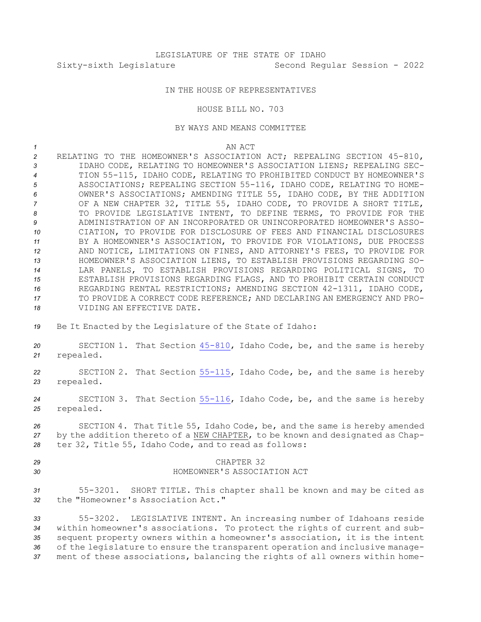## IN THE HOUSE OF REPRESENTATIVES

HOUSE BILL NO. 703

## BY WAYS AND MEANS COMMITTEE

*1* AN ACT

 RELATING TO THE HOMEOWNER'S ASSOCIATION ACT; REPEALING SECTION 45-810, IDAHO CODE, RELATING TO HOMEOWNER'S ASSOCIATION LIENS; REPEALING SEC- TION 55-115, IDAHO CODE, RELATING TO PROHIBITED CONDUCT BY HOMEOWNER'S ASSOCIATIONS; REPEALING SECTION 55-116, IDAHO CODE, RELATING TO HOME- OWNER'S ASSOCIATIONS; AMENDING TITLE 55, IDAHO CODE, BY THE ADDITION OF A NEW CHAPTER 32, TITLE 55, IDAHO CODE, TO PROVIDE A SHORT TITLE, TO PROVIDE LEGISLATIVE INTENT, TO DEFINE TERMS, TO PROVIDE FOR THE ADMINISTRATION OF AN INCORPORATED OR UNINCORPORATED HOMEOWNER'S ASSO- CIATION, TO PROVIDE FOR DISCLOSURE OF FEES AND FINANCIAL DISCLOSURES BY A HOMEOWNER'S ASSOCIATION, TO PROVIDE FOR VIOLATIONS, DUE PROCESS AND NOTICE, LIMITATIONS ON FINES, AND ATTORNEY'S FEES, TO PROVIDE FOR HOMEOWNER'S ASSOCIATION LIENS, TO ESTABLISH PROVISIONS REGARDING SO- LAR PANELS, TO ESTABLISH PROVISIONS REGARDING POLITICAL SIGNS, TO ESTABLISH PROVISIONS REGARDING FLAGS, AND TO PROHIBIT CERTAIN CONDUCT REGARDING RENTAL RESTRICTIONS; AMENDING SECTION 42-1311, IDAHO CODE, TO PROVIDE A CORRECT CODE REFERENCE; AND DECLARING AN EMERGENCY AND PRO-VIDING AN EFFECTIVE DATE.

*<sup>19</sup>* Be It Enacted by the Legislature of the State of Idaho:

*<sup>20</sup>* SECTION 1. That Section [45-810](https://legislature.idaho.gov/statutesrules/idstat/Title45/T45CH8/SECT45-810), Idaho Code, be, and the same is hereby *<sup>21</sup>* repealed.

*<sup>22</sup>* SECTION 2. That Section [55-115](https://legislature.idaho.gov/statutesrules/idstat/Title55/T55CH1/SECT55-115), Idaho Code, be, and the same is hereby *<sup>23</sup>* repealed.

*<sup>24</sup>* SECTION 3. That Section [55-116](https://legislature.idaho.gov/statutesrules/idstat/Title55/T55CH1/SECT55-116), Idaho Code, be, and the same is hereby *<sup>25</sup>* repealed.

*<sup>26</sup>* SECTION 4. That Title 55, Idaho Code, be, and the same is hereby amended *<sup>27</sup>* by the addition thereto of <sup>a</sup> NEW CHAPTER, to be known and designated as Chap-*<sup>28</sup>* ter 32, Title 55, Idaho Code, and to read as follows:

## *29* CHAPTER 32

## *30* HOMEOWNER'S ASSOCIATION ACT

*<sup>31</sup>* 55-3201. SHORT TITLE. This chapter shall be known and may be cited as *32* the "Homeowner's Association Act."

 55-3202. LEGISLATIVE INTENT. An increasing number of Idahoans reside within homeowner's associations. To protect the rights of current and sub- sequent property owners within <sup>a</sup> homeowner's association, it is the intent of the legislature to ensure the transparent operation and inclusive manage-ment of these associations, balancing the rights of all owners within home-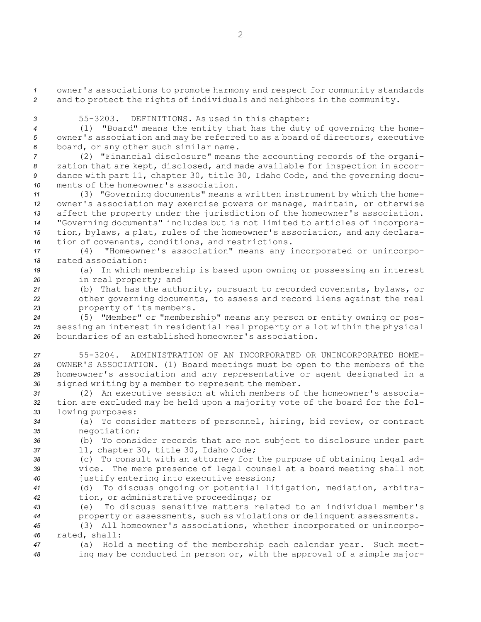*<sup>1</sup>* owner's associations to promote harmony and respect for community standards *<sup>2</sup>* and to protect the rights of individuals and neighbors in the community.

*<sup>3</sup>* 55-3203. DEFINITIONS. As used in this chapter:

*<sup>4</sup>* (1) "Board" means the entity that has the duty of governing the home-*<sup>5</sup>* owner's association and may be referred to as <sup>a</sup> board of directors, executive *<sup>6</sup>* board, or any other such similar name.

 (2) "Financial disclosure" means the accounting records of the organi- zation that are kept, disclosed, and made available for inspection in accor- dance with part 11, chapter 30, title 30, Idaho Code, and the governing docu-ments of the homeowner's association.

 (3) "Governing documents" means <sup>a</sup> written instrument by which the home- owner's association may exercise powers or manage, maintain, or otherwise affect the property under the jurisdiction of the homeowner's association. "Governing documents" includes but is not limited to articles of incorpora- tion, bylaws, <sup>a</sup> plat, rules of the homeowner's association, and any declara-tion of covenants, conditions, and restrictions.

*<sup>17</sup>* (4) "Homeowner's association" means any incorporated or unincorpo-*18* rated association:

*<sup>19</sup>* (a) In which membership is based upon owning or possessing an interest *<sup>20</sup>* in real property; and

*<sup>21</sup>* (b) That has the authority, pursuant to recorded covenants, bylaws, or *<sup>22</sup>* other governing documents, to assess and record liens against the real *<sup>23</sup>* property of its members.

*<sup>24</sup>* (5) "Member" or "membership" means any person or entity owning or pos-*<sup>25</sup>* sessing an interest in residential real property or <sup>a</sup> lot within the physical *26* boundaries of an established homeowner's association.

 55-3204. ADMINISTRATION OF AN INCORPORATED OR UNINCORPORATED HOME- OWNER'S ASSOCIATION. (1) Board meetings must be open to the members of the homeowner's association and any representative or agent designated in <sup>a</sup> signed writing by <sup>a</sup> member to represent the member.

*31* (2) An executive session at which members of the homeowner's associa-*<sup>32</sup>* tion are excluded may be held upon <sup>a</sup> majority vote of the board for the fol-*<sup>33</sup>* lowing purposes:

*<sup>34</sup>* (a) To consider matters of personnel, hiring, bid review, or contract *<sup>35</sup>* negotiation;

*<sup>36</sup>* (b) To consider records that are not subject to disclosure under part *<sup>37</sup>* 11, chapter 30, title 30, Idaho Code;

*<sup>38</sup>* (c) To consult with an attorney for the purpose of obtaining legal ad-*<sup>39</sup>* vice. The mere presence of legal counsel at <sup>a</sup> board meeting shall not *<sup>40</sup>* justify entering into executive session;

*<sup>41</sup>* (d) To discuss ongoing or potential litigation, mediation, arbitra-*<sup>42</sup>* tion, or administrative proceedings; or

*43* (e) To discuss sensitive matters related to an individual member's *<sup>44</sup>* property or assessments, such as violations or delinquent assessments.

*<sup>45</sup>* (3) All homeowner's associations, whether incorporated or unincorpo-*46* rated, shall:

*<sup>47</sup>* (a) Hold <sup>a</sup> meeting of the membership each calendar year. Such meet-*<sup>48</sup>* ing may be conducted in person or, with the approval of <sup>a</sup> simple major-

2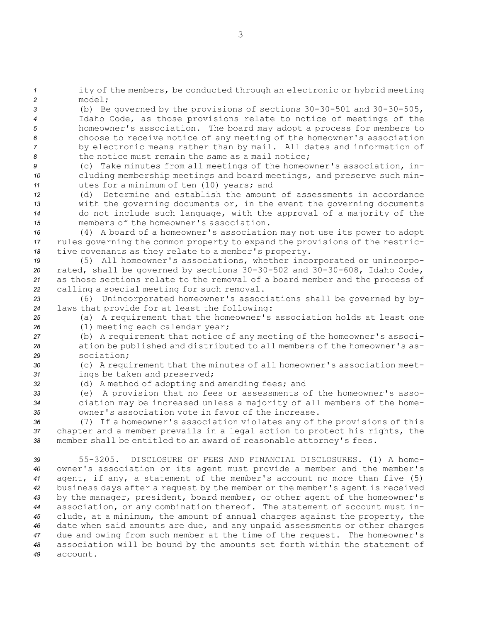*<sup>1</sup>* ity of the members, be conducted through an electronic or hybrid meeting *2* model;

 (b) Be governed by the provisions of sections 30-30-501 and 30-30-505, Idaho Code, as those provisions relate to notice of meetings of the homeowner's association. The board may adopt <sup>a</sup> process for members to choose to receive notice of any meeting of the homeowner's association by electronic means rather than by mail. All dates and information of the notice must remain the same as <sup>a</sup> mail notice;

*<sup>9</sup>* (c) Take minutes from all meetings of the homeowner's association, in-*<sup>10</sup>* cluding membership meetings and board meetings, and preserve such min-*<sup>11</sup>* utes for <sup>a</sup> minimum of ten (10) years; and

 (d) Determine and establish the amount of assessments in accordance with the governing documents or, in the event the governing documents do not include such language, with the approval of <sup>a</sup> majority of the members of the homeowner's association.

*<sup>16</sup>* (4) <sup>A</sup> board of <sup>a</sup> homeowner's association may not use its power to adopt *<sup>17</sup>* rules governing the common property to expand the provisions of the restric-*<sup>18</sup>* tive covenants as they relate to <sup>a</sup> member's property.

 (5) All homeowner's associations, whether incorporated or unincorpo- rated, shall be governed by sections 30-30-502 and 30-30-608, Idaho Code, as those sections relate to the removal of <sup>a</sup> board member and the process of calling <sup>a</sup> special meeting for such removal.

*<sup>23</sup>* (6) Unincorporated homeowner's associations shall be governed by by-*<sup>24</sup>* laws that provide for at least the following:

*<sup>25</sup>* (a) <sup>A</sup> requirement that the homeowner's association holds at least one *<sup>26</sup>* (1) meeting each calendar year;

*<sup>27</sup>* (b) <sup>A</sup> requirement that notice of any meeting of the homeowner's associ-*<sup>28</sup>* ation be published and distributed to all members of the homeowner's as-*29* sociation;

*<sup>30</sup>* (c) <sup>A</sup> requirement that the minutes of all homeowner's association meet-*<sup>31</sup>* ings be taken and preserved;

*<sup>32</sup>* (d) <sup>A</sup> method of adopting and amending fees; and

*<sup>33</sup>* (e) <sup>A</sup> provision that no fees or assessments of the homeowner's asso-*<sup>34</sup>* ciation may be increased unless <sup>a</sup> majority of all members of the home-*35* owner's association vote in favor of the increase.

*<sup>36</sup>* (7) If <sup>a</sup> homeowner's association violates any of the provisions of this *<sup>37</sup>* chapter and <sup>a</sup> member prevails in <sup>a</sup> legal action to protect his rights, the *<sup>38</sup>* member shall be entitled to an award of reasonable attorney's fees.

 55-3205. DISCLOSURE OF FEES AND FINANCIAL DISCLOSURES. (1) A home- owner's association or its agent must provide <sup>a</sup> member and the member's agent, if any, <sup>a</sup> statement of the member's account no more than five (5) business days after <sup>a</sup> request by the member or the member's agent is received by the manager, president, board member, or other agent of the homeowner's association, or any combination thereof. The statement of account must in- clude, at <sup>a</sup> minimum, the amount of annual charges against the property, the date when said amounts are due, and any unpaid assessments or other charges due and owing from such member at the time of the request. The homeowner's association will be bound by the amounts set forth within the statement of *49* account.

- 
-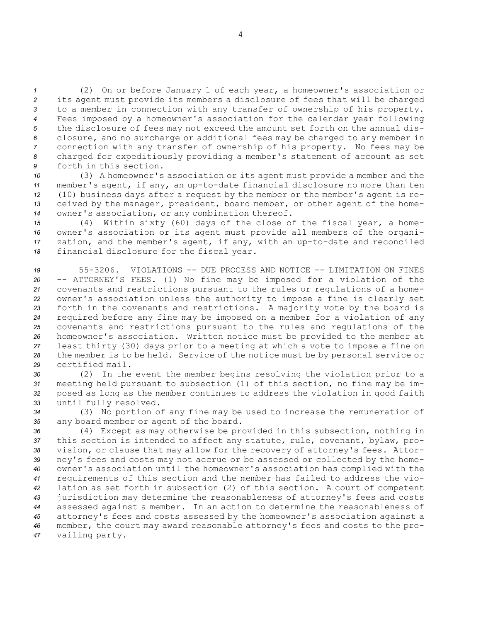(2) On or before January 1 of each year, <sup>a</sup> homeowner's association or its agent must provide its members <sup>a</sup> disclosure of fees that will be charged to <sup>a</sup> member in connection with any transfer of ownership of his property. Fees imposed by <sup>a</sup> homeowner's association for the calendar year following the disclosure of fees may not exceed the amount set forth on the annual dis- closure, and no surcharge or additional fees may be charged to any member in connection with any transfer of ownership of his property. No fees may be charged for expeditiously providing <sup>a</sup> member's statement of account as set forth in this section.

 (3) <sup>A</sup> homeowner's association or its agent must provide <sup>a</sup> member and the member's agent, if any, an up-to-date financial disclosure no more than ten (10) business days after <sup>a</sup> request by the member or the member's agent is re- ceived by the manager, president, board member, or other agent of the home-owner's association, or any combination thereof.

 (4) Within sixty (60) days of the close of the fiscal year, <sup>a</sup> home- owner's association or its agent must provide all members of the organi- zation, and the member's agent, if any, with an up-to-date and reconciled financial disclosure for the fiscal year.

 55-3206. VIOLATIONS -- DUE PROCESS AND NOTICE -- LIMITATION ON FINES -- ATTORNEY'S FEES. (1) No fine may be imposed for <sup>a</sup> violation of the covenants and restrictions pursuant to the rules or regulations of <sup>a</sup> home- owner's association unless the authority to impose <sup>a</sup> fine is clearly set forth in the covenants and restrictions. <sup>A</sup> majority vote by the board is required before any fine may be imposed on <sup>a</sup> member for <sup>a</sup> violation of any covenants and restrictions pursuant to the rules and regulations of the homeowner's association. Written notice must be provided to the member at least thirty (30) days prior to <sup>a</sup> meeting at which <sup>a</sup> vote to impose <sup>a</sup> fine on the member is to be held. Service of the notice must be by personal service or certified mail.

 (2) In the event the member begins resolving the violation prior to <sup>a</sup> meeting held pursuant to subsection (1) of this section, no fine may be im- posed as long as the member continues to address the violation in good faith until fully resolved.

*<sup>34</sup>* (3) No portion of any fine may be used to increase the remuneration of *<sup>35</sup>* any board member or agent of the board.

 (4) Except as may otherwise be provided in this subsection, nothing in this section is intended to affect any statute, rule, covenant, bylaw, pro- vision, or clause that may allow for the recovery of attorney's fees. Attor- ney's fees and costs may not accrue or be assessed or collected by the home- owner's association until the homeowner's association has complied with the requirements of this section and the member has failed to address the vio- lation as set forth in subsection (2) of this section. <sup>A</sup> court of competent jurisdiction may determine the reasonableness of attorney's fees and costs assessed against <sup>a</sup> member. In an action to determine the reasonableness of attorney's fees and costs assessed by the homeowner's association against <sup>a</sup> member, the court may award reasonable attorney's fees and costs to the pre-vailing party.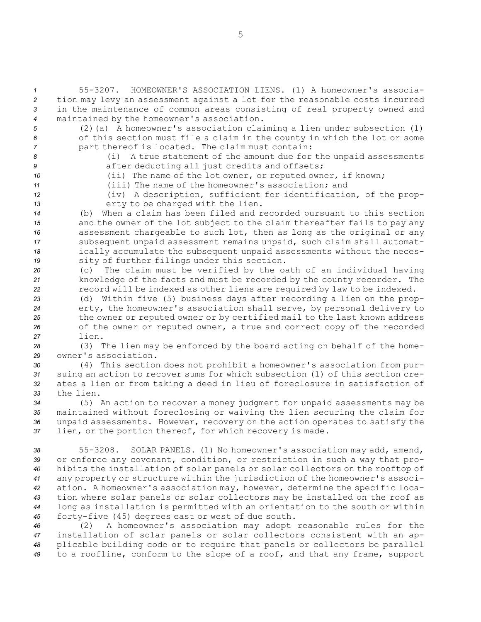55-3207. HOMEOWNER'S ASSOCIATION LIENS. (1) A homeowner's associa- tion may levy an assessment against <sup>a</sup> lot for the reasonable costs incurred in the maintenance of common areas consisting of real property owned and maintained by the homeowner's association.

*<sup>5</sup>* (2)(a) <sup>A</sup> homeowner's association claiming <sup>a</sup> lien under subsection (1) *<sup>6</sup>* of this section must file <sup>a</sup> claim in the county in which the lot or some *<sup>7</sup>* part thereof is located. The claim must contain:

- *<sup>8</sup>* (i) <sup>A</sup> true statement of the amount due for the unpaid assessments
- 

**9 a** after deducting all just credits and offsets; *<sup>10</sup>* (ii) The name of the lot owner, or reputed owner, if known;

*<sup>11</sup>* (iii) The name of the homeowner's association; and

*<sup>12</sup>* (iv) <sup>A</sup> description, sufficient for identification, of the prop-13 erty to be charged with the lien.

 (b) When <sup>a</sup> claim has been filed and recorded pursuant to this section and the owner of the lot subject to the claim thereafter fails to pay any assessment chargeable to such lot, then as long as the original or any subsequent unpaid assessment remains unpaid, such claim shall automat- ically accumulate the subsequent unpaid assessments without the neces-sity of further filings under this section.

*<sup>20</sup>* (c) The claim must be verified by the oath of an individual having *<sup>21</sup>* knowledge of the facts and must be recorded by the county recorder. The *<sup>22</sup>* record will be indexed as other liens are required by law to be indexed.

 (d) Within five (5) business days after recording <sup>a</sup> lien on the prop- erty, the homeowner's association shall serve, by personal delivery to the owner or reputed owner or by certified mail to the last known address of the owner or reputed owner, <sup>a</sup> true and correct copy of the recorded *27* lien.

*<sup>28</sup>* (3) The lien may be enforced by the board acting on behalf of the home-*29* owner's association.

 (4) This section does not prohibit <sup>a</sup> homeowner's association from pur- suing an action to recover sums for which subsection (1) of this section cre- ates <sup>a</sup> lien or from taking <sup>a</sup> deed in lieu of foreclosure in satisfaction of the lien.

 (5) An action to recover <sup>a</sup> money judgment for unpaid assessments may be maintained without foreclosing or waiving the lien securing the claim for unpaid assessments. However, recovery on the action operates to satisfy the lien, or the portion thereof, for which recovery is made.

 55-3208. SOLAR PANELS. (1) No homeowner's association may add, amend, or enforce any covenant, condition, or restriction in such <sup>a</sup> way that pro- hibits the installation of solar panels or solar collectors on the rooftop of any property or structure within the jurisdiction of the homeowner's associ- ation. <sup>A</sup> homeowner's association may, however, determine the specific loca- tion where solar panels or solar collectors may be installed on the roof as long as installation is permitted with an orientation to the south or within forty-five (45) degrees east or west of due south.

 (2) <sup>A</sup> homeowner's association may adopt reasonable rules for the installation of solar panels or solar collectors consistent with an ap- plicable building code or to require that panels or collectors be parallel to <sup>a</sup> roofline, conform to the slope of <sup>a</sup> roof, and that any frame, support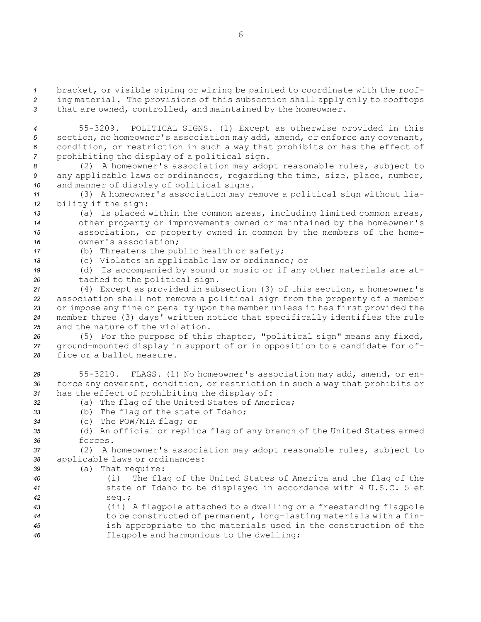*<sup>1</sup>* bracket, or visible piping or wiring be painted to coordinate with the roof-*<sup>2</sup>* ing material. The provisions of this subsection shall apply only to rooftops *<sup>3</sup>* that are owned, controlled, and maintained by the homeowner.

 55-3209. POLITICAL SIGNS. (1) Except as otherwise provided in this section, no homeowner's association may add, amend, or enforce any covenant, condition, or restriction in such <sup>a</sup> way that prohibits or has the effect of prohibiting the display of <sup>a</sup> political sign.

*<sup>8</sup>* (2) <sup>A</sup> homeowner's association may adopt reasonable rules, subject to *<sup>9</sup>* any applicable laws or ordinances, regarding the time, size, place, number, *<sup>10</sup>* and manner of display of political signs.

*<sup>11</sup>* (3) <sup>A</sup> homeowner's association may remove <sup>a</sup> political sign without lia-*<sup>12</sup>* bility if the sign:

 (a) Is placed within the common areas, including limited common areas, other property or improvements owned or maintained by the homeowner's association, or property owned in common by the members of the home-owner's association;

*<sup>17</sup>* (b) Threatens the public health or safety;

*<sup>18</sup>* (c) Violates an applicable law or ordinance; or

*<sup>19</sup>* (d) Is accompanied by sound or music or if any other materials are at-*<sup>20</sup>* tached to the political sign.

 (4) Except as provided in subsection (3) of this section, <sup>a</sup> homeowner's association shall not remove <sup>a</sup> political sign from the property of <sup>a</sup> member or impose any fine or penalty upon the member unless it has first provided the member three (3) days' written notice that specifically identifies the rule and the nature of the violation.

*<sup>26</sup>* (5) For the purpose of this chapter, "political sign" means any fixed, *<sup>27</sup>* ground-mounted display in support of or in opposition to <sup>a</sup> candidate for of-*28* fice or <sup>a</sup> ballot measure.

*<sup>29</sup>* 55-3210. FLAGS. (1) No homeowner's association may add, amend, or en-*<sup>30</sup>* force any covenant, condition, or restriction in such <sup>a</sup> way that prohibits or *<sup>31</sup>* has the effect of prohibiting the display of:

- *<sup>32</sup>* (a) The flag of the United States of America;
- *<sup>33</sup>* (b) The flag of the state of Idaho;
- *<sup>34</sup>* (c) The POW/MIA flag; or

*<sup>35</sup>* (d) An official or replica flag of any branch of the United States armed *36* forces.

*<sup>37</sup>* (2) <sup>A</sup> homeowner's association may adopt reasonable rules, subject to *<sup>38</sup>* applicable laws or ordinances:

*<sup>39</sup>* (a) That require:

*<sup>40</sup>* (i) The flag of the United States of America and the flag of the *<sup>41</sup>* state of Idaho to be displayed in accordance with 4 U.S.C. 5 et *42* seq.;

 (ii) <sup>A</sup> flagpole attached to <sup>a</sup> dwelling or <sup>a</sup> freestanding flagpole to be constructed of permanent, long-lasting materials with <sup>a</sup> fin- ish appropriate to the materials used in the construction of the flagpole and harmonious to the dwelling;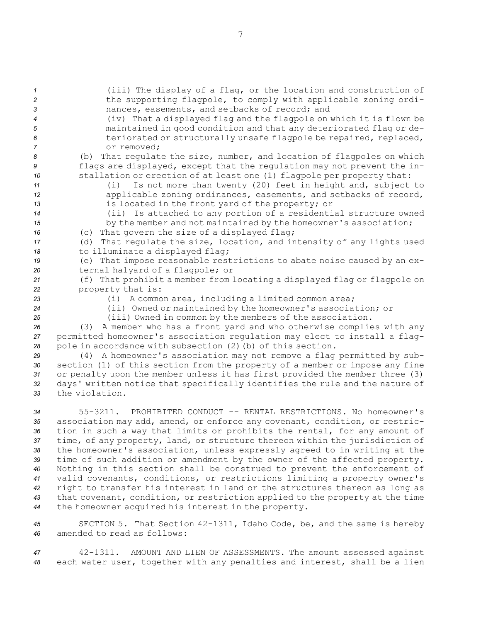(iii) The display of <sup>a</sup> flag, or the location and construction of the supporting flagpole, to comply with applicable zoning ordi- nances, easements, and setbacks of record; and (iv) That <sup>a</sup> displayed flag and the flagpole on which it is flown be maintained in good condition and that any deteriorated flag or de- teriorated or structurally unsafe flagpole be repaired, replaced, or removed; (b) That regulate the size, number, and location of flagpoles on which flags are displayed, except that the regulation may not prevent the in- stallation or erection of at least one (1) flagpole per property that: (i) Is not more than twenty (20) feet in height and, subject to applicable zoning ordinances, easements, and setbacks of record, is located in the front yard of the property; or (ii) Is attached to any portion of <sup>a</sup> residential structure owned 15 by the member and not maintained by the homeowner's association; (c) That govern the size of <sup>a</sup> displayed flag; (d) That regulate the size, location, and intensity of any lights used 18 to illuminate a displayed flag; (e) That impose reasonable restrictions to abate noise caused by an ex- ternal halyard of <sup>a</sup> flagpole; or (f) That prohibit <sup>a</sup> member from locating <sup>a</sup> displayed flag or flagpole on property that is: (i) <sup>A</sup> common area, including <sup>a</sup> limited common area; (ii) Owned or maintained by the homeowner's association; or (iii) Owned in common by the members of the association. (3) <sup>A</sup> member who has <sup>a</sup> front yard and who otherwise complies with any

*<sup>27</sup>* permitted homeowner's association regulation may elect to install <sup>a</sup> flag-*<sup>28</sup>* pole in accordance with subsection (2)(b) of this section.

 (4) <sup>A</sup> homeowner's association may not remove <sup>a</sup> flag permitted by sub- section (1) of this section from the property of <sup>a</sup> member or impose any fine or penalty upon the member unless it has first provided the member three (3) days' written notice that specifically identifies the rule and the nature of the violation.

 55-3211. PROHIBITED CONDUCT -- RENTAL RESTRICTIONS. No homeowner's association may add, amend, or enforce any covenant, condition, or restric- tion in such <sup>a</sup> way that limits or prohibits the rental, for any amount of time, of any property, land, or structure thereon within the jurisdiction of the homeowner's association, unless expressly agreed to in writing at the time of such addition or amendment by the owner of the affected property. Nothing in this section shall be construed to prevent the enforcement of valid covenants, conditions, or restrictions limiting <sup>a</sup> property owner's right to transfer his interest in land or the structures thereon as long as that covenant, condition, or restriction applied to the property at the time the homeowner acquired his interest in the property.

*<sup>45</sup>* SECTION 5. That Section 42-1311, Idaho Code, be, and the same is hereby *46* amended to read as follows:

*<sup>47</sup>* 42-1311. AMOUNT AND LIEN OF ASSESSMENTS. The amount assessed against *<sup>48</sup>* each water user, together with any penalties and interest, shall be <sup>a</sup> lien